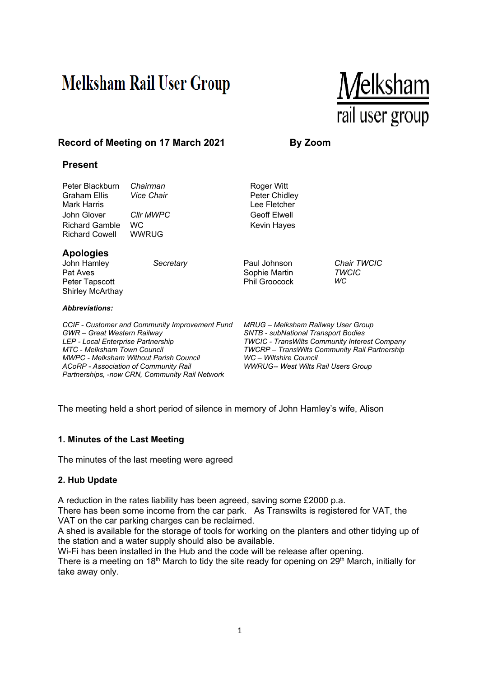# **Melksham Rail User Group**



# **Record of Meeting on 17 March 2021 By Zoom**

# **Present**

| Peter Blackburn<br>Graham Ellis<br>Mark Harris<br>John Glover<br><b>Richard Gamble</b><br><b>Richard Cowell</b>                                                                                                                                                                                                     | Chairman<br><b>Vice Chair</b><br><b>CIIr MWPC</b><br><b>WC</b><br><b>WWRUG</b> | Roger Witt<br>Peter Chidley<br>Lee Fletcher<br><b>Geoff Elwell</b><br>Kevin Hayes                                                                                                                                                                                        |                                          |
|---------------------------------------------------------------------------------------------------------------------------------------------------------------------------------------------------------------------------------------------------------------------------------------------------------------------|--------------------------------------------------------------------------------|--------------------------------------------------------------------------------------------------------------------------------------------------------------------------------------------------------------------------------------------------------------------------|------------------------------------------|
| <b>Apologies</b><br>John Hamley<br>Pat Aves<br>Peter Tapscott<br><b>Shirley McArthay</b><br><b>Abbreviations:</b>                                                                                                                                                                                                   | Secretary                                                                      | Paul Johnson<br>Sophie Martin<br>Phil Groocock                                                                                                                                                                                                                           | <b>Chair TWCIC</b><br><b>TWCIC</b><br>WC |
| CCIF - Customer and Community Improvement Fund<br><b>GWR</b> – Great Western Railway<br>LEP - Local Enterprise Partnership<br><b>MTC - Melksham Town Council</b><br><b>MWPC - Melksham Without Parish Council</b><br><b>ACoRP</b> - Association of Community Rail<br>Partnerships, -now CRN, Community Rail Network |                                                                                | MRUG – Melksham Railway User Group<br><b>SNTB - subNational Transport Bodies</b><br><b>TWCIC - TransWilts Community Interest Company</b><br><b>TWCRP</b> – TransWilts Community Rail Partnership<br>WC - Wiltshire Council<br><b>WWRUG-- West Wilts Rail Users Group</b> |                                          |

The meeting held a short period of silence in memory of John Hamley's wife, Alison

#### **1. Minutes of the Last Meeting**

The minutes of the last meeting were agreed

#### **2. Hub Update**

A reduction in the rates liability has been agreed, saving some £2000 p.a.

There has been some income from the car park. As Transwilts is registered for VAT, the VAT on the car parking charges can be reclaimed.

A shed is available for the storage of tools for working on the planters and other tidying up of the station and a water supply should also be available.

Wi-Fi has been installed in the Hub and the code will be release after opening. There is a meeting on 18<sup>th</sup> March to tidy the site ready for opening on  $29<sup>th</sup>$  March, initially for take away only.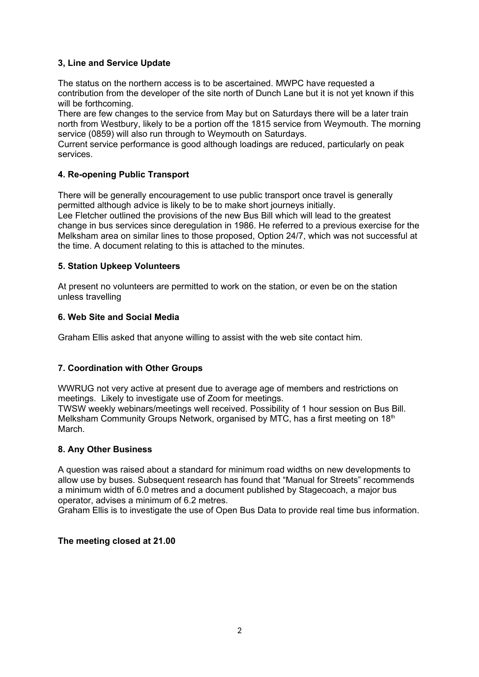# **3, Line and Service Update**

The status on the northern access is to be ascertained. MWPC have requested a contribution from the developer of the site north of Dunch Lane but it is not yet known if this will be forthcoming.

There are few changes to the service from May but on Saturdays there will be a later train north from Westbury, likely to be a portion off the 1815 service from Weymouth. The morning service (0859) will also run through to Weymouth on Saturdays.

Current service performance is good although loadings are reduced, particularly on peak services.

# **4. Re-opening Public Transport**

There will be generally encouragement to use public transport once travel is generally permitted although advice is likely to be to make short journeys initially.

Lee Fletcher outlined the provisions of the new Bus Bill which will lead to the greatest change in bus services since deregulation in 1986. He referred to a previous exercise for the Melksham area on similar lines to those proposed, Option 24/7, which was not successful at the time. A document relating to this is attached to the minutes.

# **5. Station Upkeep Volunteers**

At present no volunteers are permitted to work on the station, or even be on the station unless travelling

## **6. Web Site and Social Media**

Graham Ellis asked that anyone willing to assist with the web site contact him.

# **7. Coordination with Other Groups**

WWRUG not very active at present due to average age of members and restrictions on meetings. Likely to investigate use of Zoom for meetings.

TWSW weekly webinars/meetings well received. Possibility of 1 hour session on Bus Bill. Melksham Community Groups Network, organised by MTC, has a first meeting on 18<sup>th</sup> March.

# **8. Any Other Business**

A question was raised about a standard for minimum road widths on new developments to allow use by buses. Subsequent research has found that "Manual for Streets" recommends a minimum width of 6.0 metres and a document published by Stagecoach, a major bus operator, advises a minimum of 6.2 metres.

Graham Ellis is to investigate the use of Open Bus Data to provide real time bus information.

# **The meeting closed at 21.00**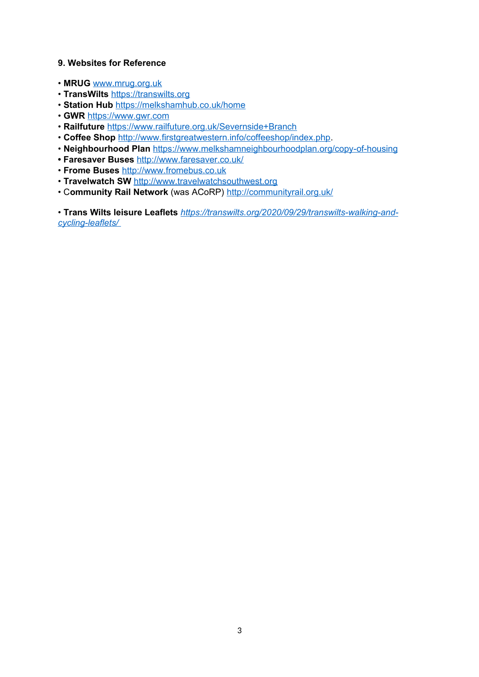### **9. Websites for Reference**

- **MRUG** [www.mrug.org.uk](../../../C:/Users/roger/OneDrive/Documents/www.mrug.org.uk)
- **TransWilts** [https://transwilts.org](../../../C:/Users/roger/OneDrive/Documents/CyberLink)
- **Station Hub** [https://melkshamhub.co.uk/home](../../../C:/Users/roger/OneDrive/Documents/CyberLink)
- **GWR** [https://www.gwr.com](../../../C:/Users/roger/OneDrive/Documents/CyberLink)
- **Railfuture** [https://www.railfuture.org.uk/Severnside+Branch](https://www.railfuture.org.uk/Severnside+Branch%20)
- **Coffee Shop** <http://www.firstgreatwestern.info/coffeeshop/index.php>.
- **Neighbourhood Plan** [https://www.melkshamneighbourhoodplan.org/copy-of-housing](https://www.melkshamneighbourhoodplan.org/copy-of-housing%20)
- **Faresaver Buses** [http://www.faresaver.co.uk/](http://www.faresaver.co.uk/%20)
- **Frome Buses** [http://www.fromebus.co.uk](../../../C:/Users/roger/OneDrive/Documents/CyberLink)
- **Travelwatch SW** [http://www.travelwatchsouthwest.org](../../../C:/Users/roger/OneDrive/Documents/CyberLink)
- C**ommunity Rail Network** (was ACoRP) [http://communityrail.org.uk/](http://communityrail.org.uk/%20)

• **Trans Wilts leisure Leaflets** *[https://transwilts.org/2020/09/29/transwilts-walking-and](./C:%5C%5CUsers%5C%5Croger%5C%5COneDrive%5C%5CDocuments%5C%5CCyberLink)[cycling-leaflets/](./C:%5C%5CUsers%5C%5Croger%5C%5COneDrive%5C%5CDocuments%5C%5CCyberLink)*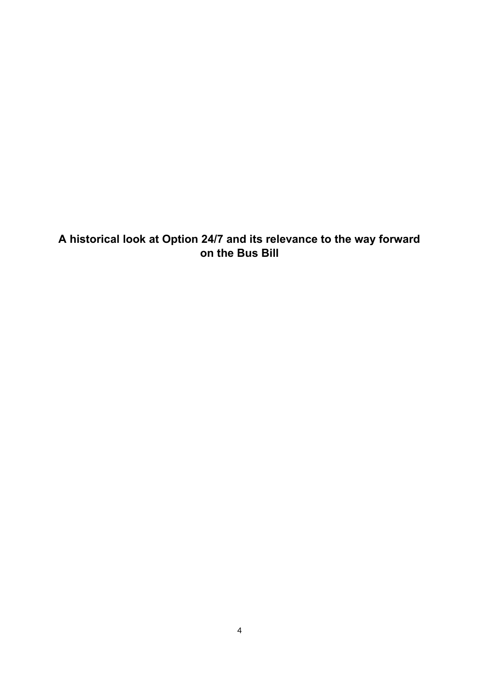**A historical look at Option 24/7 and its relevance to the way forward on the Bus Bill**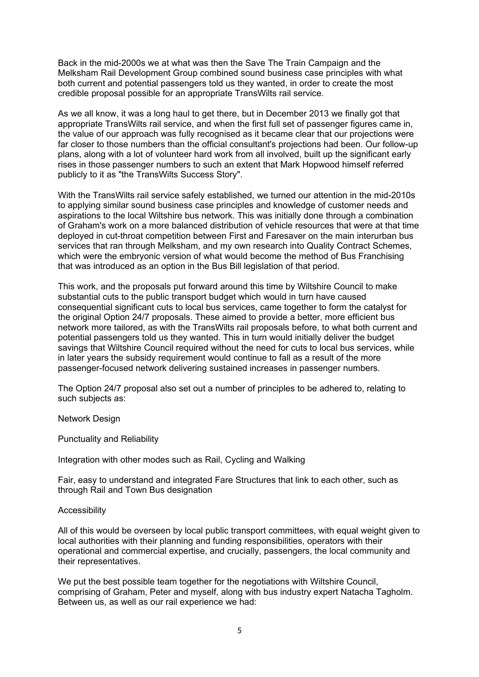Back in the mid-2000s we at what was then the Save The Train Campaign and the Melksham Rail Development Group combined sound business case principles with what both current and potential passengers told us they wanted, in order to create the most credible proposal possible for an appropriate TransWilts rail service.

As we all know, it was a long haul to get there, but in December 2013 we finally got that appropriate TransWilts rail service, and when the first full set of passenger figures came in, the value of our approach was fully recognised as it became clear that our projections were far closer to those numbers than the official consultant's projections had been. Our follow-up plans, along with a lot of volunteer hard work from all involved, built up the significant early rises in those passenger numbers to such an extent that Mark Hopwood himself referred publicly to it as "the TransWilts Success Story".

With the TransWilts rail service safely established, we turned our attention in the mid-2010s to applying similar sound business case principles and knowledge of customer needs and aspirations to the local Wiltshire bus network. This was initially done through a combination of Graham's work on a more balanced distribution of vehicle resources that were at that time deployed in cut-throat competition between First and Faresaver on the main interurban bus services that ran through Melksham, and my own research into Quality Contract Schemes, which were the embryonic version of what would become the method of Bus Franchising that was introduced as an option in the Bus Bill legislation of that period.

This work, and the proposals put forward around this time by Wiltshire Council to make substantial cuts to the public transport budget which would in turn have caused consequential significant cuts to local bus services, came together to form the catalyst for the original Option 24/7 proposals. These aimed to provide a better, more efficient bus network more tailored, as with the TransWilts rail proposals before, to what both current and potential passengers told us they wanted. This in turn would initially deliver the budget savings that Wiltshire Council required without the need for cuts to local bus services, while in later years the subsidy requirement would continue to fall as a result of the more passenger-focused network delivering sustained increases in passenger numbers.

The Option 24/7 proposal also set out a number of principles to be adhered to, relating to such subjects as:

Network Design

Punctuality and Reliability

Integration with other modes such as Rail, Cycling and Walking

Fair, easy to understand and integrated Fare Structures that link to each other, such as through Rail and Town Bus designation

#### Accessibility

All of this would be overseen by local public transport committees, with equal weight given to local authorities with their planning and funding responsibilities, operators with their operational and commercial expertise, and crucially, passengers, the local community and their representatives.

We put the best possible team together for the negotiations with Wiltshire Council, comprising of Graham, Peter and myself, along with bus industry expert Natacha Tagholm. Between us, as well as our rail experience we had: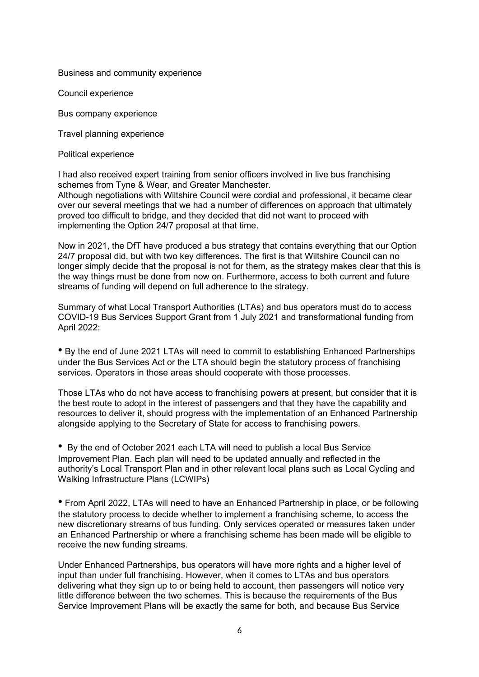#### Business and community experience

Council experience

Bus company experience

Travel planning experience

Political experience

I had also received expert training from senior officers involved in live bus franchising schemes from Tyne & Wear, and Greater Manchester.

Although negotiations with Wiltshire Council were cordial and professional, it became clear over our several meetings that we had a number of differences on approach that ultimately proved too difficult to bridge, and they decided that did not want to proceed with implementing the Option 24/7 proposal at that time.

Now in 2021, the DfT have produced a bus strategy that contains everything that our Option 24/7 proposal did, but with two key differences. The first is that Wiltshire Council can no longer simply decide that the proposal is not for them, as the strategy makes clear that this is the way things must be done from now on. Furthermore, access to both current and future streams of funding will depend on full adherence to the strategy.

Summary of what Local Transport Authorities (LTAs) and bus operators must do to access COVID-19 Bus Services Support Grant from 1 July 2021 and transformational funding from April 2022:

• By the end of June 2021 LTAs will need to commit to establishing Enhanced Partnerships under the Bus Services Act or the LTA should begin the statutory process of franchising services. Operators in those areas should cooperate with those processes.

Those LTAs who do not have access to franchising powers at present, but consider that it is the best route to adopt in the interest of passengers and that they have the capability and resources to deliver it, should progress with the implementation of an Enhanced Partnership alongside applying to the Secretary of State for access to franchising powers.

• By the end of October 2021 each LTA will need to publish a local Bus Service Improvement Plan. Each plan will need to be updated annually and reflected in the authority's Local Transport Plan and in other relevant local plans such as Local Cycling and Walking Infrastructure Plans (LCWIPs)

• From April 2022, LTAs will need to have an Enhanced Partnership in place, or be following the statutory process to decide whether to implement a franchising scheme, to access the new discretionary streams of bus funding. Only services operated or measures taken under an Enhanced Partnership or where a franchising scheme has been made will be eligible to receive the new funding streams.

Under Enhanced Partnerships, bus operators will have more rights and a higher level of input than under full franchising. However, when it comes to LTAs and bus operators delivering what they sign up to or being held to account, then passengers will notice very little difference between the two schemes. This is because the requirements of the Bus Service Improvement Plans will be exactly the same for both, and because Bus Service